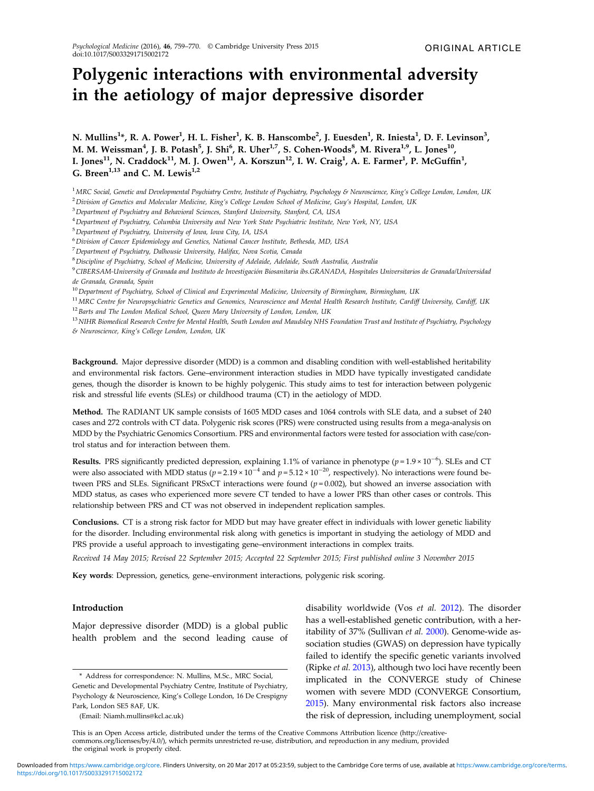# Polygenic interactions with environmental adversity in the aetiology of major depressive disorder

N. Mullins<sup>1</sup>\*, R. A. Power<sup>1</sup>, H. L. Fisher<sup>1</sup>, K. B. Hanscombe<sup>2</sup>, J. Euesden<sup>1</sup>, R. Iniesta<sup>1</sup>, D. F. Levinson<sup>3</sup>, M. M. Weissman $^4$ , J. B. Potash $^5$ , J. Shi $^6$ , R. Uher $^{1,7}$ , S. Cohen-Woods $^8$ , M. Rivera $^{1,9}$ , L. Jones $^{10}$ , I. Jones $^{11}$ , N. Craddock $^{11}$ , M. J. Owen $^{11}$ , A. Korszun $^{12}$ , I. W. Craig $^{1}$ , A. E. Farmer $^{1}$ , P. McGuffin $^{1}$ , G. Breen<sup>1,13</sup> and C. M. Lewis<sup>1,2</sup>

<sup>1</sup> MRC Social, Genetic and Developmental Psychiatry Centre, Institute of Psychiatry, Psychology & Neuroscience, King's College London, London, UK <sup>2</sup> Division of Genetics and Molecular Medicine, King's College London School of Medicine, Guy's Hospital, London, UK

<sup>3</sup> Department of Psychiatry and Behavioral Sciences, Stanford University, Stanford, CA, USA

<sup>4</sup>Department of Psychiatry, Columbia University and New York State Psychiatric Institute, New York, NY, USA

<sup>5</sup>Department of Psychiatry, University of Iowa, Iowa City, IA, USA

<sup>6</sup>Division of Cancer Epidemiology and Genetics, National Cancer Institute, Bethesda, MD, USA

<sup>7</sup>Department of Psychiatry, Dalhousie University, Halifax, Nova Scotia, Canada

<sup>8</sup>Discipline of Psychiatry, School of Medicine, University of Adelaide, Adelaide, South Australia, Australia

<sup>9</sup>CIBERSAM-University of Granada and Instituto de Investigación Biosanitaria ibs.GRANADA, Hospitales Universitarios de Granada/Universidad de Granada, Granada, Spain

 $10$  Department of Psychiatry, School of Clinical and Experimental Medicine, University of Birmingham, Birmingham, UK

<sup>11</sup> MRC Centre for Neuropsychiatric Genetics and Genomics, Neuroscience and Mental Health Research Institute, Cardiff University, Cardiff, UK <sup>12</sup> Barts and The London Medical School, Queen Mary University of London, London, UK

<sup>13</sup>NIHR Biomedical Research Centre for Mental Health, South London and Maudsley NHS Foundation Trust and Institute of Psychiatry, Psychology & Neuroscience, King's College London, London, UK

Background. Major depressive disorder (MDD) is a common and disabling condition with well-established heritability and environmental risk factors. Gene–environment interaction studies in MDD have typically investigated candidate genes, though the disorder is known to be highly polygenic. This study aims to test for interaction between polygenic risk and stressful life events (SLEs) or childhood trauma (CT) in the aetiology of MDD.

Method. The RADIANT UK sample consists of 1605 MDD cases and 1064 controls with SLE data, and a subset of 240 cases and 272 controls with CT data. Polygenic risk scores (PRS) were constructed using results from a mega-analysis on MDD by the Psychiatric Genomics Consortium. PRS and environmental factors were tested for association with case/control status and for interaction between them.

Results. PRS significantly predicted depression, explaining 1.1% of variance in phenotype ( $p = 1.9 \times 10^{-6}$ ). SLEs and CT were also associated with MDD status ( $p = 2.19 \times 10^{-4}$  and  $p = 5.12 \times 10^{-20}$ , respectively). No interactions were found between PRS and SLEs. Significant PRSxCT interactions were found  $(p=0.002)$ , but showed an inverse association with MDD status, as cases who experienced more severe CT tended to have a lower PRS than other cases or controls. This relationship between PRS and CT was not observed in independent replication samples.

Conclusions. CT is a strong risk factor for MDD but may have greater effect in individuals with lower genetic liability for the disorder. Including environmental risk along with genetics is important in studying the aetiology of MDD and PRS provide a useful approach to investigating gene–environment interactions in complex traits.

Received 14 May 2015; Revised 22 September 2015; Accepted 22 September 2015; First published online 3 November 2015

Key words: Depression, genetics, gene-environment interactions, polygenic risk scoring.

#### Introduction

Major depressive disorder (MDD) is a global public health problem and the second leading cause of disability worldwide (Vos et al. [2012](#page-10-0)). The disorder has a well-established genetic contribution, with a her-itability of 37% (Sullivan et al. [2000](#page-10-0)). Genome-wide association studies (GWAS) on depression have typically failed to identify the specific genetic variants involved (Ripke et al. [2013\)](#page-10-0), although two loci have recently been implicated in the CONVERGE study of Chinese women with severe MDD (CONVERGE Consortium, [2015\)](#page-8-0). Many environmental risk factors also increase the risk of depression, including unemployment, social

This is an Open Access article, distributed under the terms of the Creative Commons Attribution licence (http://creativecommons.org/licenses/by/4.0/), which permits unrestricted re-use, distribution, and reproduction in any medium, provided the original work is properly cited.

<sup>\*</sup> Address for correspondence: N. Mullins, M.Sc., MRC Social, Genetic and Developmental Psychiatry Centre, Institute of Psychiatry, Psychology & Neuroscience, King's College London, 16 De Crespigny Park, London SE5 8AF, UK.

<sup>(</sup>Email: Niamh.mullins@kcl.ac.uk)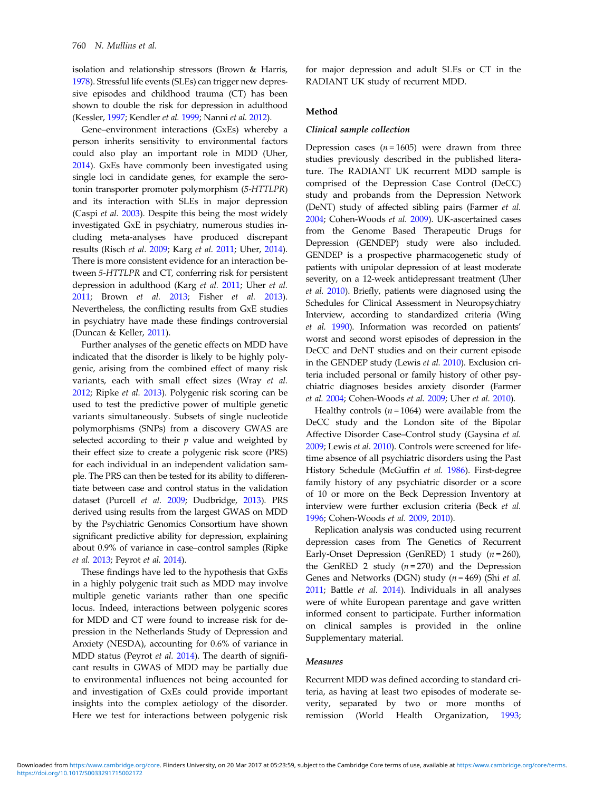isolation and relationship stressors (Brown & Harris, [1978](#page-8-0)). Stressful life events (SLEs) can trigger new depressive episodes and childhood trauma (CT) has been shown to double the risk for depression in adulthood (Kessler, [1997](#page-9-0); Kendler et al. [1999;](#page-9-0) Nanni et al. [2012\)](#page-9-0).

Gene–environment interactions (GxEs) whereby a person inherits sensitivity to environmental factors could also play an important role in MDD (Uher, [2014\)](#page-10-0). GxEs have commonly been investigated using single loci in candidate genes, for example the serotonin transporter promoter polymorphism (5-HTTLPR) and its interaction with SLEs in major depression (Caspi et al. [2003](#page-8-0)). Despite this being the most widely investigated GxE in psychiatry, numerous studies including meta-analyses have produced discrepant results (Risch et al. [2009](#page-10-0); Karg et al. [2011](#page-9-0); Uher, [2014](#page-10-0)). There is more consistent evidence for an interaction between 5-HTTLPR and CT, conferring risk for persistent depression in adulthood (Karg et al. [2011;](#page-9-0) Uher et al. [2011;](#page-10-0) Brown et al. [2013](#page-8-0); Fisher et al. [2013](#page-8-0)). Nevertheless, the conflicting results from GxE studies in psychiatry have made these findings controversial (Duncan & Keller, [2011](#page-8-0)).

Further analyses of the genetic effects on MDD have indicated that the disorder is likely to be highly polygenic, arising from the combined effect of many risk variants, each with small effect sizes (Wray et al. [2012;](#page-11-0) Ripke et al. [2013](#page-10-0)). Polygenic risk scoring can be used to test the predictive power of multiple genetic variants simultaneously. Subsets of single nucleotide polymorphisms (SNPs) from a discovery GWAS are selected according to their  $p$  value and weighted by their effect size to create a polygenic risk score (PRS) for each individual in an independent validation sample. The PRS can then be tested for its ability to differentiate between case and control status in the validation dataset (Purcell et al. [2009;](#page-10-0) Dudbridge, [2013\)](#page-8-0). PRS derived using results from the largest GWAS on MDD by the Psychiatric Genomics Consortium have shown significant predictive ability for depression, explaining about 0.9% of variance in case–control samples (Ripke et al. [2013;](#page-10-0) Peyrot et al. [2014](#page-9-0)).

These findings have led to the hypothesis that GxEs in a highly polygenic trait such as MDD may involve multiple genetic variants rather than one specific locus. Indeed, interactions between polygenic scores for MDD and CT were found to increase risk for depression in the Netherlands Study of Depression and Anxiety (NESDA), accounting for 0.6% of variance in MDD status (Peyrot et al. [2014](#page-9-0)). The dearth of significant results in GWAS of MDD may be partially due to environmental influences not being accounted for and investigation of GxEs could provide important insights into the complex aetiology of the disorder. Here we test for interactions between polygenic risk for major depression and adult SLEs or CT in the RADIANT UK study of recurrent MDD.

# Method

#### Clinical sample collection

Depression cases  $(n = 1605)$  were drawn from three studies previously described in the published literature. The RADIANT UK recurrent MDD sample is comprised of the Depression Case Control (DeCC) study and probands from the Depression Network (DeNT) study of affected sibling pairs (Farmer et al. [2004;](#page-8-0) Cohen-Woods et al. [2009\)](#page-8-0). UK-ascertained cases from the Genome Based Therapeutic Drugs for Depression (GENDEP) study were also included. GENDEP is a prospective pharmacogenetic study of patients with unipolar depression of at least moderate severity, on a 12-week antidepressant treatment (Uher et al. [2010\)](#page-10-0). Briefly, patients were diagnosed using the Schedules for Clinical Assessment in Neuropsychiatry Interview, according to standardized criteria (Wing et al. [1990](#page-11-0)). Information was recorded on patients' worst and second worst episodes of depression in the DeCC and DeNT studies and on their current episode in the GENDEP study (Lewis et al. [2010](#page-9-0)). Exclusion criteria included personal or family history of other psychiatric diagnoses besides anxiety disorder (Farmer et al. [2004;](#page-8-0) Cohen-Woods et al. [2009;](#page-8-0) Uher et al. [2010](#page-10-0)).

Healthy controls ( $n = 1064$ ) were available from the DeCC study and the London site of the Bipolar Affective Disorder Case–Control study (Gaysina et al. [2009;](#page-9-0) Lewis et al. [2010](#page-9-0)). Controls were screened for lifetime absence of all psychiatric disorders using the Past History Schedule (McGuffin et al. [1986\)](#page-9-0). First-degree family history of any psychiatric disorder or a score of 10 or more on the Beck Depression Inventory at interview were further exclusion criteria (Beck et al. [1996;](#page-8-0) Cohen-Woods et al. [2009](#page-8-0), [2010](#page-8-0)).

Replication analysis was conducted using recurrent depression cases from The Genetics of Recurrent Early-Onset Depression (GenRED) 1 study  $(n=260)$ , the GenRED 2 study  $(n = 270)$  and the Depression Genes and Networks (DGN) study  $(n = 469)$  (Shi et al. [2011;](#page-10-0) Battle et al. [2014](#page-8-0)). Individuals in all analyses were of white European parentage and gave written informed consent to participate. Further information on clinical samples is provided in the online Supplementary material.

#### Measures

Recurrent MDD was defined according to standard criteria, as having at least two episodes of moderate severity, separated by two or more months of remission (World Health Organization, [1993](#page-11-0);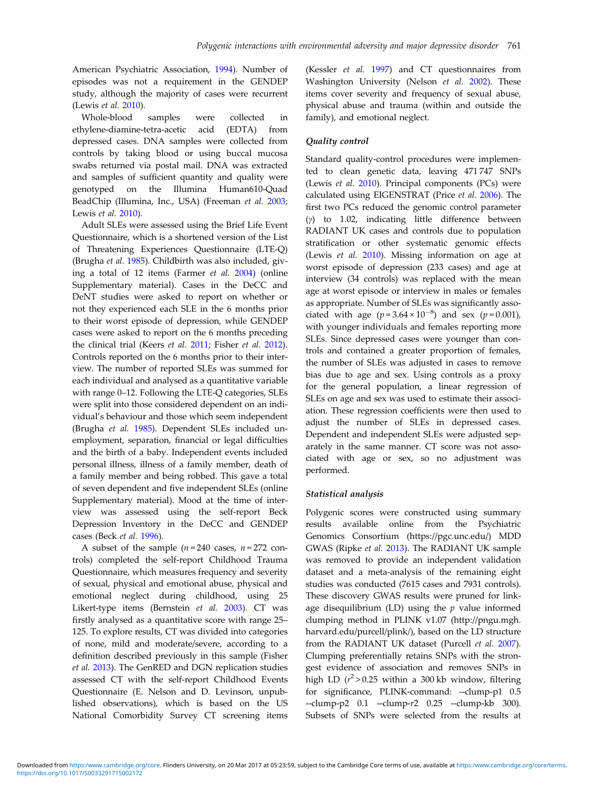American Psychiatric Association, [1994](#page-8-0)). Number of episodes was not a requirement in the GENDEP study, although the majority of cases were recurrent (Lewis et al. [2010\)](#page-9-0).

Whole-blood samples were collected in ethylene-diamine-tetra-acetic acid (EDTA) from depressed cases. DNA samples were collected from controls by taking blood or using buccal mucosa swabs returned via postal mail. DNA was extracted and samples of sufficient quantity and quality were genotyped on the Illumina Human610-Quad BeadChip (Illumina, Inc., USA) (Freeman et al. [2003](#page-9-0); Lewis et al. [2010\)](#page-9-0).

Adult SLEs were assessed using the Brief Life Event Questionnaire, which is a shortened version of the List of Threatening Experiences Questionnaire (LTE-Q) (Brugha et al. [1985](#page-8-0)). Childbirth was also included, giving a total of 12 items (Farmer et al. [2004](#page-8-0)) (online Supplementary material). Cases in the DeCC and DeNT studies were asked to report on whether or not they experienced each SLE in the 6 months prior to their worst episode of depression, while GENDEP cases were asked to report on the 6 months preceding the clinical trial (Keers et al. [2011](#page-9-0); Fisher et al. [2012](#page-9-0)). Controls reported on the 6 months prior to their interview. The number of reported SLEs was summed for each individual and analysed as a quantitative variable with range 0–12. Following the LTE-Q categories, SLEs were split into those considered dependent on an individual's behaviour and those which seem independent (Brugha et al. [1985\)](#page-8-0). Dependent SLEs included unemployment, separation, financial or legal difficulties and the birth of a baby. Independent events included personal illness, illness of a family member, death of a family member and being robbed. This gave a total of seven dependent and five independent SLEs (online Supplementary material). Mood at the time of interview was assessed using the self-report Beck Depression Inventory in the DeCC and GENDEP cases (Beck et al. [1996](#page-8-0)).

A subset of the sample ( $n = 240$  cases,  $n = 272$  controls) completed the self-report Childhood Trauma Questionnaire, which measures frequency and severity of sexual, physical and emotional abuse, physical and emotional neglect during childhood, using 25 Likert-type items (Bernstein et al. [2003](#page-8-0)). CT was firstly analysed as a quantitative score with range 25– 125. To explore results, CT was divided into categories of none, mild and moderate/severe, according to a definition described previously in this sample (Fisher et al. [2013](#page-8-0)). The GenRED and DGN replication studies assessed CT with the self-report Childhood Events Questionnaire (E. Nelson and D. Levinson, unpublished observations), which is based on the US National Comorbidity Survey CT screening items (Kessler et al. [1997](#page-9-0)) and CT questionnaires from Washington University (Nelson et al. [2002\)](#page-9-0). These items cover severity and frequency of sexual abuse, physical abuse and trauma (within and outside the family), and emotional neglect.

## Quality control

Standard quality-control procedures were implemented to clean genetic data, leaving 471 747 SNPs (Lewis et al. [2010\)](#page-9-0). Principal components (PCs) were calculated using EIGENSTRAT (Price et al. [2006](#page-9-0)). The first two PCs reduced the genomic control parameter (γ) to 1.02, indicating little difference between RADIANT UK cases and controls due to population stratification or other systematic genomic effects (Lewis et al. [2010\)](#page-9-0). Missing information on age at worst episode of depression (233 cases) and age at interview (34 controls) was replaced with the mean age at worst episode or interview in males or females as appropriate. Number of SLEs was significantly associated with age ( $p = 3.64 \times 10^{-8}$ ) and sex ( $p = 0.001$ ), with younger individuals and females reporting more SLEs. Since depressed cases were younger than controls and contained a greater proportion of females, the number of SLEs was adjusted in cases to remove bias due to age and sex. Using controls as a proxy for the general population, a linear regression of SLEs on age and sex was used to estimate their association. These regression coefficients were then used to adjust the number of SLEs in depressed cases. Dependent and independent SLEs were adjusted separately in the same manner. CT score was not associated with age or sex, so no adjustment was performed.

# Statistical analysis

Polygenic scores were constructed using summary results available online from the Psychiatric Genomics Consortium (https://pgc.unc.edu/) MDD GWAS (Ripke et al. [2013\)](#page-10-0). The RADIANT UK sample was removed to provide an independent validation dataset and a meta-analysis of the remaining eight studies was conducted (7615 cases and 7931 controls). These discovery GWAS results were pruned for linkage disequilibrium (LD) using the  $p$  value informed clumping method in PLINK v1.07 (http://pngu.mgh. harvard.edu/purcell/plink/), based on the LD structure from the RADIANT UK dataset (Purcell et al. [2007](#page-10-0)). Clumping preferentially retains SNPs with the strongest evidence of association and removes SNPs in high LD  $(r^2 > 0.25$  within a 300 kb window, filtering for significance, PLINK-command: --clump-p1 0.5  $-clump-p2$  0.1  $-clump-r2$  0.25  $-clump-kb$  300). Subsets of SNPs were selected from the results at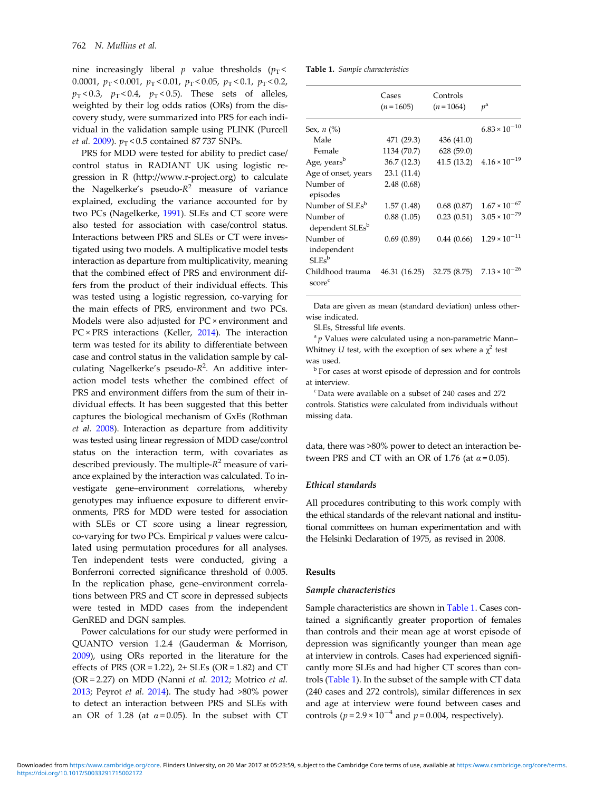nine increasingly liberal  $p$  value thresholds ( $p_T$  < 0.0001,  $p_T < 0.001$ ,  $p_T < 0.01$ ,  $p_T < 0.05$ ,  $p_T < 0.1$ ,  $p_T < 0.2$ ,  $p_T < 0.3$ ,  $p_T < 0.4$ ,  $p_T < 0.5$ ). These sets of alleles, weighted by their log odds ratios (ORs) from the discovery study, were summarized into PRS for each individual in the validation sample using PLINK (Purcell *et al.* [2009\)](#page-10-0).  $p_T < 0.5$  contained 87737 SNPs.

PRS for MDD were tested for ability to predict case/ control status in RADIANT UK using logistic regression in R (http://www.r-project.org) to calculate the Nagelkerke's pseudo- $R^2$  measure of variance explained, excluding the variance accounted for by two PCs (Nagelkerke, [1991\)](#page-9-0). SLEs and CT score were also tested for association with case/control status. Interactions between PRS and SLEs or CT were investigated using two models. A multiplicative model tests interaction as departure from multiplicativity, meaning that the combined effect of PRS and environment differs from the product of their individual effects. This was tested using a logistic regression, co-varying for the main effects of PRS, environment and two PCs. Models were also adjusted for PC × environment and PC × PRS interactions (Keller, [2014](#page-9-0)). The interaction term was tested for its ability to differentiate between case and control status in the validation sample by calculating Nagelkerke's pseudo- $R^2$ . An additive interaction model tests whether the combined effect of PRS and environment differs from the sum of their individual effects. It has been suggested that this better captures the biological mechanism of GxEs (Rothman et al. [2008](#page-10-0)). Interaction as departure from additivity was tested using linear regression of MDD case/control status on the interaction term, with covariates as described previously. The multiple- $R^2$  measure of variance explained by the interaction was calculated. To investigate gene–environment correlations, whereby genotypes may influence exposure to different environments, PRS for MDD were tested for association with SLEs or CT score using a linear regression, co-varying for two PCs. Empirical  $p$  values were calculated using permutation procedures for all analyses. Ten independent tests were conducted, giving a Bonferroni corrected significance threshold of 0.005. In the replication phase, gene–environment correlations between PRS and CT score in depressed subjects were tested in MDD cases from the independent GenRED and DGN samples.

Power calculations for our study were performed in QUANTO version 1.2.4 (Gauderman & Morrison, [2009\)](#page-9-0), using ORs reported in the literature for the effects of PRS (OR = 1.22),  $2+$  SLEs (OR = 1.82) and CT (OR = 2.27) on MDD (Nanni et al. [2012;](#page-9-0) Motrico et al. [2013;](#page-9-0) Peyrot et al. [2014](#page-9-0)). The study had >80% power to detect an interaction between PRS and SLEs with an OR of 1.28 (at  $\alpha = 0.05$ ). In the subset with CT

Table 1. Sample characteristics

|                                          | Cases<br>$(n=1605)$ | Controls<br>$(n=1064)$ | $p^{\rm a}$            |
|------------------------------------------|---------------------|------------------------|------------------------|
| Sex, $n$ (%)                             |                     |                        | $6.83 \times 10^{-10}$ |
| Male                                     | 471 (29.3)          | 436 (41.0)             |                        |
| Female                                   | 1134 (70.7)         | 628(59.0)              |                        |
| Age, years <sup>b</sup>                  | 36.7(12.3)          | 41.5(13.2)             | $4.16 \times 10^{-19}$ |
| Age of onset, years                      | 23.1 (11.4)         |                        |                        |
| Number of<br>episodes                    | 2.48(0.68)          |                        |                        |
| Number of SLEs <sup>b</sup>              | 1.57(1.48)          | 0.68(0.87)             | $1.67 \times 10^{-67}$ |
| Number of<br>dependent SLEs <sup>b</sup> | 0.88(1.05)          | 0.23(0.51)             | $3.05 \times 10^{-79}$ |
| Number of<br>independent<br>$SLEs^b$     | 0.69(0.89)          | 0.44(0.66)             | $1.29 \times 10^{-11}$ |
| Childhood trauma<br>score <sup>c</sup>   | 46.31 (16.25)       | 32.75 (8.75)           | $7.13 \times 10^{-26}$ |

Data are given as mean (standard deviation) unless otherwise indicated.

SLEs, Stressful life events.

 $a<sup>a</sup> p$  Values were calculated using a non-parametric Mann– Whitney U test, with the exception of sex where a  $\chi^2$  test was used.

<sup>b</sup> For cases at worst episode of depression and for controls at interview.

<sup>c</sup> Data were available on a subset of 240 cases and 272 controls. Statistics were calculated from individuals without missing data.

data, there was >80% power to detect an interaction between PRS and CT with an OR of 1.76 (at  $\alpha$  = 0.05).

# Ethical standards

All procedures contributing to this work comply with the ethical standards of the relevant national and institutional committees on human experimentation and with the Helsinki Declaration of 1975, as revised in 2008.

# Results

#### Sample characteristics

Sample characteristics are shown in Table 1. Cases contained a significantly greater proportion of females than controls and their mean age at worst episode of depression was significantly younger than mean age at interview in controls. Cases had experienced significantly more SLEs and had higher CT scores than controls (Table 1). In the subset of the sample with CT data (240 cases and 272 controls), similar differences in sex and age at interview were found between cases and controls ( $p = 2.9 \times 10^{-4}$  and  $p = 0.004$ , respectively).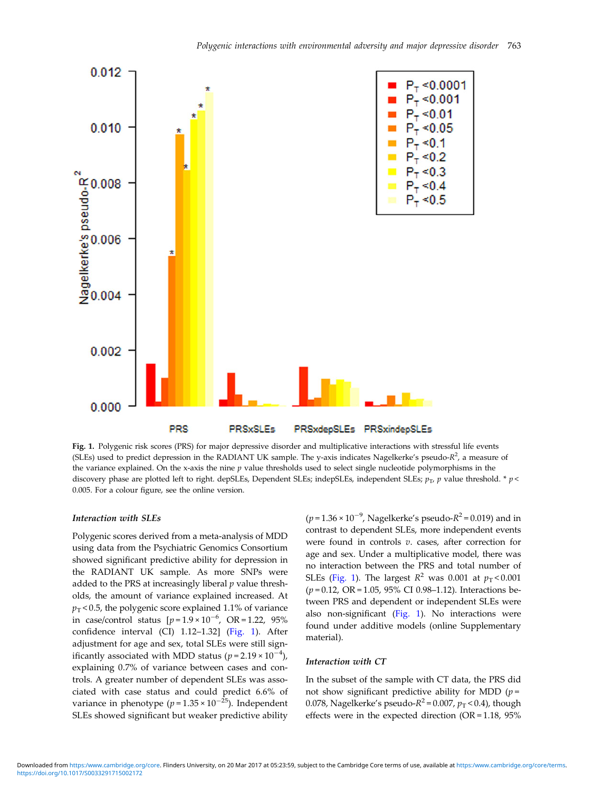<span id="page-4-0"></span>

Fig. 1. Polygenic risk scores (PRS) for major depressive disorder and multiplicative interactions with stressful life events (SLEs) used to predict depression in the RADIANT UK sample. The y-axis indicates Nagelkerke's pseudo-R<sup>2</sup>, a measure of the variance explained. On the x-axis the nine  $p$  value thresholds used to select single nucleotide polymorphisms in the discovery phase are plotted left to right. depSLEs, Dependent SLEs; indepSLEs, independent SLEs;  $p_T$ , p value threshold. \*  $p <$ 0.005. For a colour figure, see the online version.

#### Interaction with SLEs

Polygenic scores derived from a meta-analysis of MDD using data from the Psychiatric Genomics Consortium showed significant predictive ability for depression in the RADIANT UK sample. As more SNPs were added to the PRS at increasingly liberal  $p$  value thresholds, the amount of variance explained increased. At  $p_T < 0.5$ , the polygenic score explained 1.1% of variance in case/control status  $[p=1.9 \times 10^{-6}, \text{ OR} = 1.22, 95\%$ confidence interval (CI) 1.12–1.32] (Fig. 1). After adjustment for age and sex, total SLEs were still significantly associated with MDD status ( $p = 2.19 \times 10^{-4}$ ), explaining 0.7% of variance between cases and controls. A greater number of dependent SLEs was associated with case status and could predict 6.6% of variance in phenotype ( $p = 1.35 \times 10^{-25}$ ). Independent SLEs showed significant but weaker predictive ability

 $(p=1.36 \times 10^{-9}$ , Nagelkerke's pseudo- $R^2$ =0.019) and in contrast to dependent SLEs, more independent events were found in controls  $v$ . cases, after correction for age and sex. Under a multiplicative model, there was no interaction between the PRS and total number of SLEs (Fig. 1). The largest  $R^2$  was 0.001 at  $p_T < 0.001$  $(p = 0.12, \text{ OR } = 1.05, 95\% \text{ CI } 0.98 - 1.12)$ . Interactions between PRS and dependent or independent SLEs were also non-significant (Fig. 1). No interactions were found under additive models (online Supplementary material).

# Interaction with CT

In the subset of the sample with CT data, the PRS did not show significant predictive ability for MDD ( $p =$ 0.078, Nagelkerke's pseudo- $R^2$  = 0.007,  $p_T < 0.4$ ), though effects were in the expected direction (OR = 1.18, 95%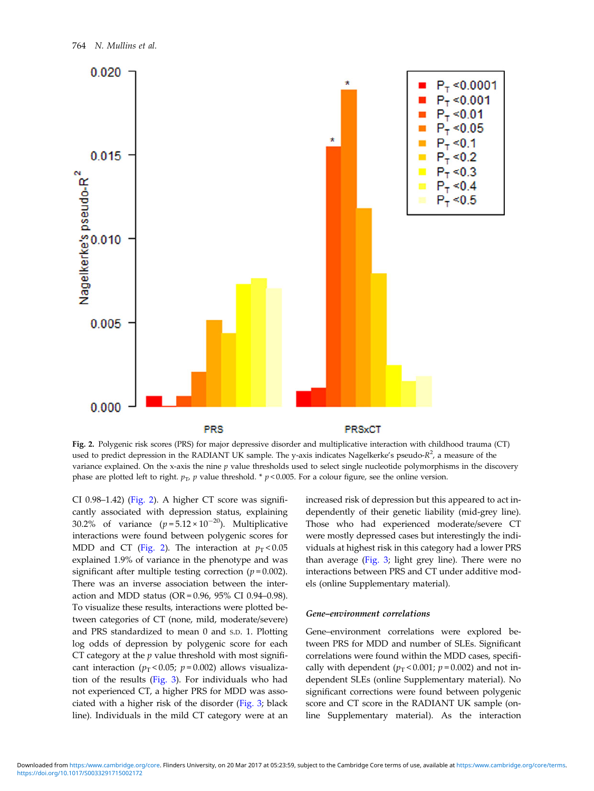<span id="page-5-0"></span>

Fig. 2. Polygenic risk scores (PRS) for major depressive disorder and multiplicative interaction with childhood trauma (CT) used to predict depression in the RADIANT UK sample. The y-axis indicates Nagelkerke's pseudo- $R^2$ , a measure of the variance explained. On the x-axis the nine p value thresholds used to select single nucleotide polymorphisms in the discovery phase are plotted left to right.  $p_T$ , p value threshold. \*  $p$  < 0.005. For a colour figure, see the online version.

CI 0.98–1.42) (Fig. 2). A higher CT score was significantly associated with depression status, explaining 30.2% of variance  $(p=5.12 \times 10^{-20})$ . Multiplicative interactions were found between polygenic scores for MDD and CT (Fig. 2). The interaction at  $p_T < 0.05$ explained 1.9% of variance in the phenotype and was significant after multiple testing correction  $(p=0.002)$ . There was an inverse association between the interaction and MDD status (OR =  $0.96$ ,  $95\%$  CI 0.94–0.98). To visualize these results, interactions were plotted between categories of CT (none, mild, moderate/severe) and PRS standardized to mean 0 and S.D. 1. Plotting log odds of depression by polygenic score for each CT category at the  $p$  value threshold with most significant interaction ( $p_T < 0.05$ ;  $p = 0.002$ ) allows visualization of the results [\(Fig. 3\)](#page-6-0). For individuals who had not experienced CT, a higher PRS for MDD was associated with a higher risk of the disorder [\(Fig. 3](#page-6-0); black line). Individuals in the mild CT category were at an

increased risk of depression but this appeared to act independently of their genetic liability (mid-grey line). Those who had experienced moderate/severe CT were mostly depressed cases but interestingly the individuals at highest risk in this category had a lower PRS than average [\(Fig. 3](#page-6-0); light grey line). There were no interactions between PRS and CT under additive models (online Supplementary material).

#### Gene–environment correlations

Gene–environment correlations were explored between PRS for MDD and number of SLEs. Significant correlations were found within the MDD cases, specifically with dependent ( $p_T < 0.001$ ;  $p = 0.002$ ) and not independent SLEs (online Supplementary material). No significant corrections were found between polygenic score and CT score in the RADIANT UK sample (online Supplementary material). As the interaction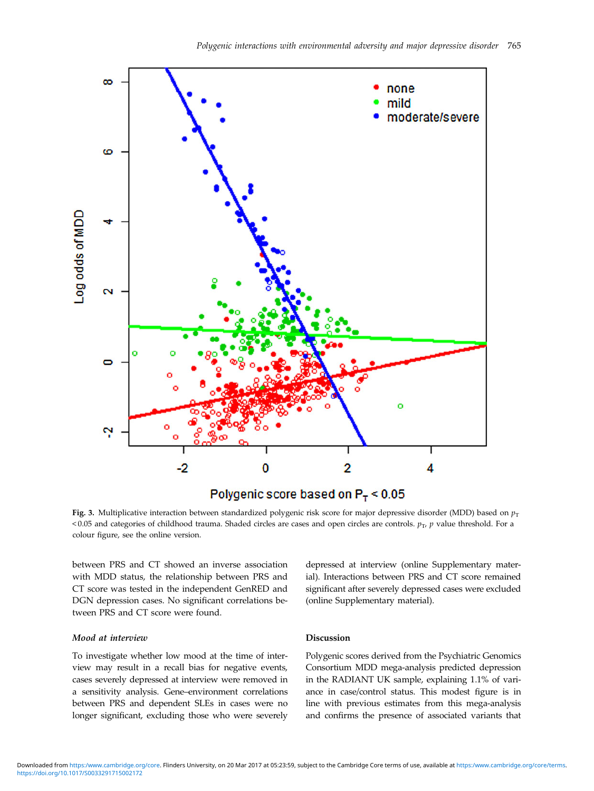<span id="page-6-0"></span>

# Polygenic score based on  $P_T < 0.05$

Fig. 3. Multiplicative interaction between standardized polygenic risk score for major depressive disorder (MDD) based on  $p_T$ < 0.05 and categories of childhood trauma. Shaded circles are cases and open circles are controls.  $p_T$ , p value threshold. For a colour figure, see the online version.

between PRS and CT showed an inverse association with MDD status, the relationship between PRS and CT score was tested in the independent GenRED and DGN depression cases. No significant correlations between PRS and CT score were found.

# Mood at interview

To investigate whether low mood at the time of interview may result in a recall bias for negative events, cases severely depressed at interview were removed in a sensitivity analysis. Gene–environment correlations between PRS and dependent SLEs in cases were no longer significant, excluding those who were severely depressed at interview (online Supplementary material). Interactions between PRS and CT score remained significant after severely depressed cases were excluded (online Supplementary material).

# Discussion

Polygenic scores derived from the Psychiatric Genomics Consortium MDD mega-analysis predicted depression in the RADIANT UK sample, explaining 1.1% of variance in case/control status. This modest figure is in line with previous estimates from this mega-analysis and confirms the presence of associated variants that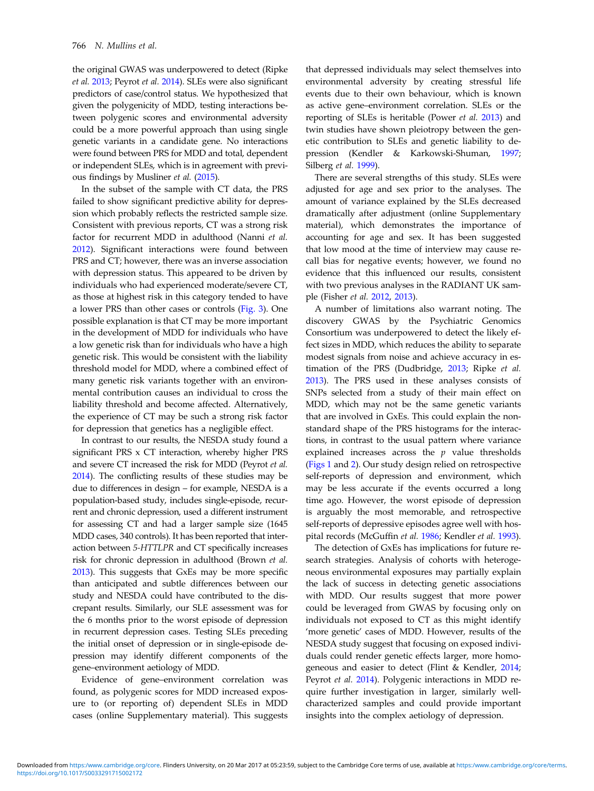the original GWAS was underpowered to detect (Ripke et al. [2013](#page-10-0); Peyrot et al. [2014\)](#page-9-0). SLEs were also significant predictors of case/control status. We hypothesized that given the polygenicity of MDD, testing interactions between polygenic scores and environmental adversity could be a more powerful approach than using single genetic variants in a candidate gene. No interactions were found between PRS for MDD and total, dependent or independent SLEs, which is in agreement with previous findings by Musliner et al. ([2015](#page-9-0)).

In the subset of the sample with CT data, the PRS failed to show significant predictive ability for depression which probably reflects the restricted sample size. Consistent with previous reports, CT was a strong risk factor for recurrent MDD in adulthood (Nanni et al. [2012\)](#page-9-0). Significant interactions were found between PRS and CT; however, there was an inverse association with depression status. This appeared to be driven by individuals who had experienced moderate/severe CT, as those at highest risk in this category tended to have a lower PRS than other cases or controls ([Fig. 3\)](#page-6-0). One possible explanation is that CT may be more important in the development of MDD for individuals who have a low genetic risk than for individuals who have a high genetic risk. This would be consistent with the liability threshold model for MDD, where a combined effect of many genetic risk variants together with an environmental contribution causes an individual to cross the liability threshold and become affected. Alternatively, the experience of CT may be such a strong risk factor for depression that genetics has a negligible effect.

In contrast to our results, the NESDA study found a significant PRS x CT interaction, whereby higher PRS and severe CT increased the risk for MDD (Peyrot et al. [2014](#page-9-0)). The conflicting results of these studies may be due to differences in design – for example, NESDA is a population-based study, includes single-episode, recurrent and chronic depression, used a different instrument for assessing CT and had a larger sample size (1645 MDD cases, 340 controls). It has been reported that interaction between 5-HTTLPR and CT specifically increases risk for chronic depression in adulthood (Brown et al. [2013](#page-8-0)). This suggests that GxEs may be more specific than anticipated and subtle differences between our study and NESDA could have contributed to the discrepant results. Similarly, our SLE assessment was for the 6 months prior to the worst episode of depression in recurrent depression cases. Testing SLEs preceding the initial onset of depression or in single-episode depression may identify different components of the gene–environment aetiology of MDD.

Evidence of gene–environment correlation was found, as polygenic scores for MDD increased exposure to (or reporting of) dependent SLEs in MDD cases (online Supplementary material). This suggests that depressed individuals may select themselves into environmental adversity by creating stressful life events due to their own behaviour, which is known as active gene–environment correlation. SLEs or the reporting of SLEs is heritable (Power et al. [2013](#page-9-0)) and twin studies have shown pleiotropy between the genetic contribution to SLEs and genetic liability to depression (Kendler & Karkowski-Shuman, [1997](#page-9-0); Silberg et al. [1999\)](#page-10-0).

There are several strengths of this study. SLEs were adjusted for age and sex prior to the analyses. The amount of variance explained by the SLEs decreased dramatically after adjustment (online Supplementary material), which demonstrates the importance of accounting for age and sex. It has been suggested that low mood at the time of interview may cause recall bias for negative events; however, we found no evidence that this influenced our results, consistent with two previous analyses in the RADIANT UK sample (Fisher et al. [2012,](#page-9-0) [2013\)](#page-8-0).

A number of limitations also warrant noting. The discovery GWAS by the Psychiatric Genomics Consortium was underpowered to detect the likely effect sizes in MDD, which reduces the ability to separate modest signals from noise and achieve accuracy in estimation of the PRS (Dudbridge, [2013](#page-8-0); Ripke et al. [2013\)](#page-10-0). The PRS used in these analyses consists of SNPs selected from a study of their main effect on MDD, which may not be the same genetic variants that are involved in GxEs. This could explain the nonstandard shape of the PRS histograms for the interactions, in contrast to the usual pattern where variance explained increases across the  $p$  value thresholds ([Figs 1](#page-4-0) and [2\)](#page-5-0). Our study design relied on retrospective self-reports of depression and environment, which may be less accurate if the events occurred a long time ago. However, the worst episode of depression is arguably the most memorable, and retrospective self-reports of depressive episodes agree well with hospital records (McGuffin et al. [1986](#page-9-0); Kendler et al. [1993](#page-9-0)).

The detection of GxEs has implications for future research strategies. Analysis of cohorts with heterogeneous environmental exposures may partially explain the lack of success in detecting genetic associations with MDD. Our results suggest that more power could be leveraged from GWAS by focusing only on individuals not exposed to CT as this might identify 'more genetic' cases of MDD. However, results of the NESDA study suggest that focusing on exposed individuals could render genetic effects larger, more homogeneous and easier to detect (Flint & Kendler, [2014](#page-9-0); Peyrot et al. [2014\)](#page-9-0). Polygenic interactions in MDD require further investigation in larger, similarly wellcharacterized samples and could provide important insights into the complex aetiology of depression.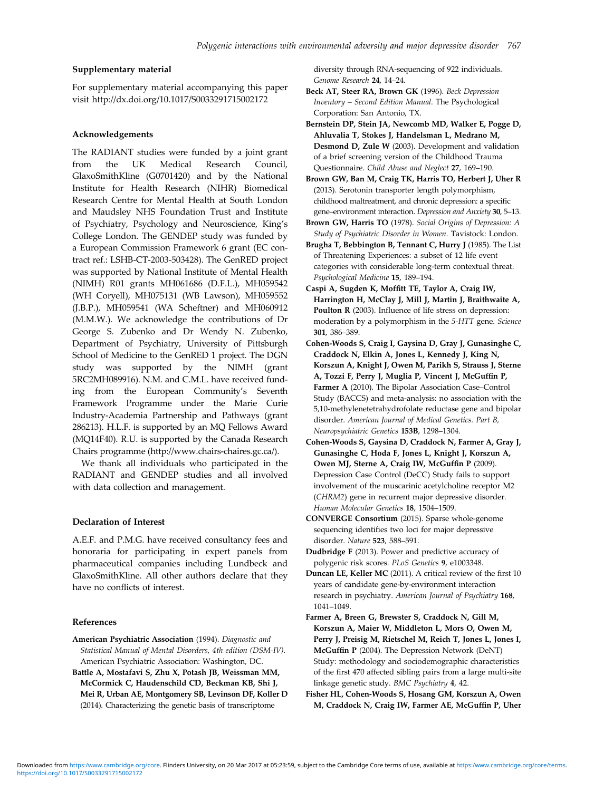# <span id="page-8-0"></span>Supplementary material

For supplementary material accompanying this paper visit http://dx.doi.org/10.1017/S0033291715002172

# Acknowledgements

The RADIANT studies were funded by a joint grant from the UK Medical Research Council, GlaxoSmithKline (G0701420) and by the National Institute for Health Research (NIHR) Biomedical Research Centre for Mental Health at South London and Maudsley NHS Foundation Trust and Institute of Psychiatry, Psychology and Neuroscience, King's College London. The GENDEP study was funded by a European Commission Framework 6 grant (EC contract ref.: LSHB-CT-2003-503428). The GenRED project was supported by National Institute of Mental Health (NIMH) R01 grants MH061686 (D.F.L.), MH059542 (WH Coryell), MH075131 (WB Lawson), MH059552 (J.B.P.), MH059541 (WA Scheftner) and MH060912 (M.M.W.). We acknowledge the contributions of Dr George S. Zubenko and Dr Wendy N. Zubenko, Department of Psychiatry, University of Pittsburgh School of Medicine to the GenRED 1 project. The DGN study was supported by the NIMH (grant 5RC2MH089916). N.M. and C.M.L. have received funding from the European Community's Seventh Framework Programme under the Marie Curie Industry-Academia Partnership and Pathways (grant 286213). H.L.F. is supported by an MQ Fellows Award (MQ14F40). R.U. is supported by the Canada Research Chairs programme (http://www.chairs-chaires.gc.ca/).

We thank all individuals who participated in the RADIANT and GENDEP studies and all involved with data collection and management.

# Declaration of Interest

A.E.F. and P.M.G. have received consultancy fees and honoraria for participating in expert panels from pharmaceutical companies including Lundbeck and GlaxoSmithKline. All other authors declare that they have no conflicts of interest.

# References

- American Psychiatric Association (1994). Diagnostic and Statistical Manual of Mental Disorders, 4th edition (DSM-IV). American Psychiatric Association: Washington, DC.
- Battle A, Mostafavi S, Zhu X, Potash JB, Weissman MM, McCormick C, Haudenschild CD, Beckman KB, Shi J, Mei R, Urban AE, Montgomery SB, Levinson DF, Koller D (2014). Characterizing the genetic basis of transcriptome

diversity through RNA-sequencing of 922 individuals. Genome Research 24, 14–24.

- Beck AT, Steer RA, Brown GK (1996). Beck Depression Inventory – Second Edition Manual. The Psychological Corporation: San Antonio, TX.
- Bernstein DP, Stein JA, Newcomb MD, Walker E, Pogge D, Ahluvalia T, Stokes J, Handelsman L, Medrano M, Desmond D, Zule W (2003). Development and validation of a brief screening version of the Childhood Trauma Questionnaire. Child Abuse and Neglect 27, 169–190.
- Brown GW, Ban M, Craig TK, Harris TO, Herbert J, Uher R (2013). Serotonin transporter length polymorphism, childhood maltreatment, and chronic depression: a specific gene–environment interaction. Depression and Anxiety 30, 5–13.
- Brown GW, Harris TO (1978). Social Origins of Depression: A Study of Psychiatric Disorder in Women. Tavistock: London.
- Brugha T, Bebbington B, Tennant C, Hurry J (1985). The List of Threatening Experiences: a subset of 12 life event categories with considerable long-term contextual threat. Psychological Medicine 15, 189–194.
- Caspi A, Sugden K, Moffitt TE, Taylor A, Craig IW, Harrington H, McClay J, Mill J, Martin J, Braithwaite A, Poulton R (2003). Influence of life stress on depression: moderation by a polymorphism in the 5-HTT gene. Science 301, 386–389.
- Cohen-Woods S, Craig I, Gaysina D, Gray J, Gunasinghe C, Craddock N, Elkin A, Jones L, Kennedy J, King N, Korszun A, Knight J, Owen M, Parikh S, Strauss J, Sterne A, Tozzi F, Perry J, Muglia P, Vincent J, McGuffin P, Farmer A (2010). The Bipolar Association Case–Control Study (BACCS) and meta-analysis: no association with the 5,10-methylenetetrahydrofolate reductase gene and bipolar disorder. American Journal of Medical Genetics. Part B, Neuropsychiatric Genetics 153B, 1298–1304.
- Cohen-Woods S, Gaysina D, Craddock N, Farmer A, Gray J, Gunasinghe C, Hoda F, Jones L, Knight J, Korszun A, Owen MJ, Sterne A, Craig IW, McGuffin P (2009). Depression Case Control (DeCC) Study fails to support involvement of the muscarinic acetylcholine receptor M2 (CHRM2) gene in recurrent major depressive disorder. Human Molecular Genetics 18, 1504–1509.
- CONVERGE Consortium (2015). Sparse whole-genome sequencing identifies two loci for major depressive disorder. Nature 523, 588–591.
- Dudbridge F (2013). Power and predictive accuracy of polygenic risk scores. PLoS Genetics 9, e1003348.
- Duncan LE, Keller MC (2011). A critical review of the first 10 years of candidate gene-by-environment interaction research in psychiatry. American Journal of Psychiatry 168, 1041–1049.
- Farmer A, Breen G, Brewster S, Craddock N, Gill M, Korszun A, Maier W, Middleton L, Mors O, Owen M, Perry J, Preisig M, Rietschel M, Reich T, Jones L, Jones I, McGuffin P (2004). The Depression Network (DeNT) Study: methodology and sociodemographic characteristics of the first 470 affected sibling pairs from a large multi-site linkage genetic study. BMC Psychiatry 4, 42.
- Fisher HL, Cohen-Woods S, Hosang GM, Korszun A, Owen M, Craddock N, Craig IW, Farmer AE, McGuffin P, Uher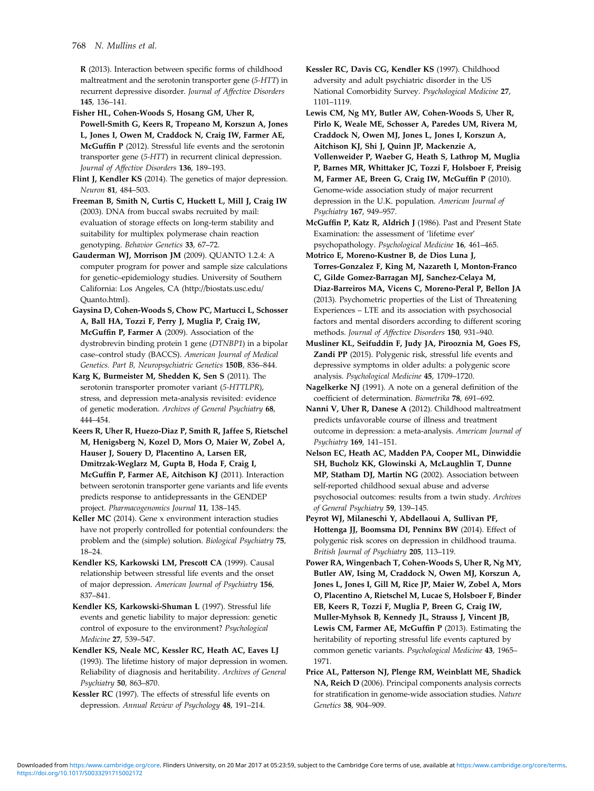<span id="page-9-0"></span>R (2013). Interaction between specific forms of childhood maltreatment and the serotonin transporter gene (5-HTT) in recurrent depressive disorder. Journal of Affective Disorders 145, 136–141.

Fisher HL, Cohen-Woods S, Hosang GM, Uher R, Powell-Smith G, Keers R, Tropeano M, Korszun A, Jones L, Jones I, Owen M, Craddock N, Craig IW, Farmer AE, McGuffin P (2012). Stressful life events and the serotonin transporter gene (5-HTT) in recurrent clinical depression. Journal of Affective Disorders 136, 189–193.

Flint J, Kendler KS (2014). The genetics of major depression. Neuron 81, 484–503.

Freeman B, Smith N, Curtis C, Huckett L, Mill J, Craig IW (2003). DNA from buccal swabs recruited by mail: evaluation of storage effects on long-term stability and suitability for multiplex polymerase chain reaction genotyping. Behavior Genetics 33, 67–72.

Gauderman WJ, Morrison JM (2009). QUANTO 1.2.4: A computer program for power and sample size calculations for genetic–epidemiology studies. University of Southern California: Los Angeles, CA (http://biostats.usc.edu/ Quanto.html).

Gaysina D, Cohen-Woods S, Chow PC, Martucci L, Schosser A, Ball HA, Tozzi F, Perry J, Muglia P, Craig IW, McGuffin P, Farmer A (2009). Association of the dystrobrevin binding protein 1 gene (DTNBP1) in a bipolar case–control study (BACCS). American Journal of Medical Genetics. Part B, Neuropsychiatric Genetics 150B, 836–844.

Karg K, Burmeister M, Shedden K, Sen S (2011). The serotonin transporter promoter variant (5-HTTLPR), stress, and depression meta-analysis revisited: evidence of genetic moderation. Archives of General Psychiatry 68, 444–454.

Keers R, Uher R, Huezo-Diaz P, Smith R, Jaffee S, Rietschel M, Henigsberg N, Kozel D, Mors O, Maier W, Zobel A, Hauser J, Souery D, Placentino A, Larsen ER, Dmitrzak-Weglarz M, Gupta B, Hoda F, Craig I, McGuffin P, Farmer AE, Aitchison KJ (2011). Interaction between serotonin transporter gene variants and life events predicts response to antidepressants in the GENDEP project. Pharmacogenomics Journal 11, 138–145.

Keller MC (2014). Gene x environment interaction studies have not properly controlled for potential confounders: the problem and the (simple) solution. Biological Psychiatry 75, 18–24.

Kendler KS, Karkowski LM, Prescott CA (1999). Causal relationship between stressful life events and the onset of major depression. American Journal of Psychiatry 156, 837–841.

Kendler KS, Karkowski-Shuman L (1997). Stressful life events and genetic liability to major depression: genetic control of exposure to the environment? Psychological Medicine 27, 539–547.

Kendler KS, Neale MC, Kessler RC, Heath AC, Eaves LJ (1993). The lifetime history of major depression in women. Reliability of diagnosis and heritability. Archives of General Psychiatry 50, 863–870.

Kessler RC (1997). The effects of stressful life events on depression. Annual Review of Psychology 48, 191–214.

Kessler RC, Davis CG, Kendler KS (1997). Childhood adversity and adult psychiatric disorder in the US National Comorbidity Survey. Psychological Medicine 27, 1101–1119.

Lewis CM, Ng MY, Butler AW, Cohen-Woods S, Uher R, Pirlo K, Weale ME, Schosser A, Paredes UM, Rivera M, Craddock N, Owen MJ, Jones L, Jones I, Korszun A, Aitchison KJ, Shi J, Quinn JP, Mackenzie A, Vollenweider P, Waeber G, Heath S, Lathrop M, Muglia P, Barnes MR, Whittaker JC, Tozzi F, Holsboer F, Preisig M, Farmer AE, Breen G, Craig IW, McGuffin P (2010). Genome-wide association study of major recurrent depression in the U.K. population. American Journal of Psychiatry 167, 949–957.

McGuffin P, Katz R, Aldrich J (1986). Past and Present State Examination: the assessment of 'lifetime ever' psychopathology. Psychological Medicine 16, 461–465.

- Motrico E, Moreno-Kustner B, de Dios Luna J, Torres-Gonzalez F, King M, Nazareth I, Monton-Franco C, Gilde Gomez-Barragan MJ, Sanchez-Celaya M, Diaz-Barreiros MA, Vicens C, Moreno-Peral P, Bellon JA (2013). Psychometric properties of the List of Threatening Experiences – LTE and its association with psychosocial factors and mental disorders according to different scoring methods. Journal of Affective Disorders 150, 931–940.
- Musliner KL, Seifuddin F, Judy JA, Pirooznia M, Goes FS, Zandi PP (2015). Polygenic risk, stressful life events and depressive symptoms in older adults: a polygenic score analysis. Psychological Medicine 45, 1709–1720.

Nagelkerke NJ (1991). A note on a general definition of the coefficient of determination. Biometrika 78, 691–692.

Nanni V, Uher R, Danese A (2012). Childhood maltreatment predicts unfavorable course of illness and treatment outcome in depression: a meta-analysis. American Journal of Psychiatry 169, 141–151.

Nelson EC, Heath AC, Madden PA, Cooper ML, Dinwiddie SH, Bucholz KK, Glowinski A, McLaughlin T, Dunne MP, Statham DJ, Martin NG (2002). Association between self-reported childhood sexual abuse and adverse psychosocial outcomes: results from a twin study. Archives of General Psychiatry 59, 139–145.

Peyrot WJ, Milaneschi Y, Abdellaoui A, Sullivan PF, Hottenga JJ, Boomsma DI, Penninx BW (2014). Effect of polygenic risk scores on depression in childhood trauma. British Journal of Psychiatry 205, 113–119.

Power RA, Wingenbach T, Cohen-Woods S, Uher R, Ng MY, Butler AW, Ising M, Craddock N, Owen MJ, Korszun A, Jones L, Jones I, Gill M, Rice JP, Maier W, Zobel A, Mors O, Placentino A, Rietschel M, Lucae S, Holsboer F, Binder EB, Keers R, Tozzi F, Muglia P, Breen G, Craig IW, Muller-Myhsok B, Kennedy JL, Strauss J, Vincent JB, Lewis CM, Farmer AE, McGuffin P (2013). Estimating the heritability of reporting stressful life events captured by common genetic variants. Psychological Medicine 43, 1965– 1971.

Price AL, Patterson NJ, Plenge RM, Weinblatt ME, Shadick NA, Reich D (2006). Principal components analysis corrects for stratification in genome-wide association studies. Nature Genetics 38, 904–909.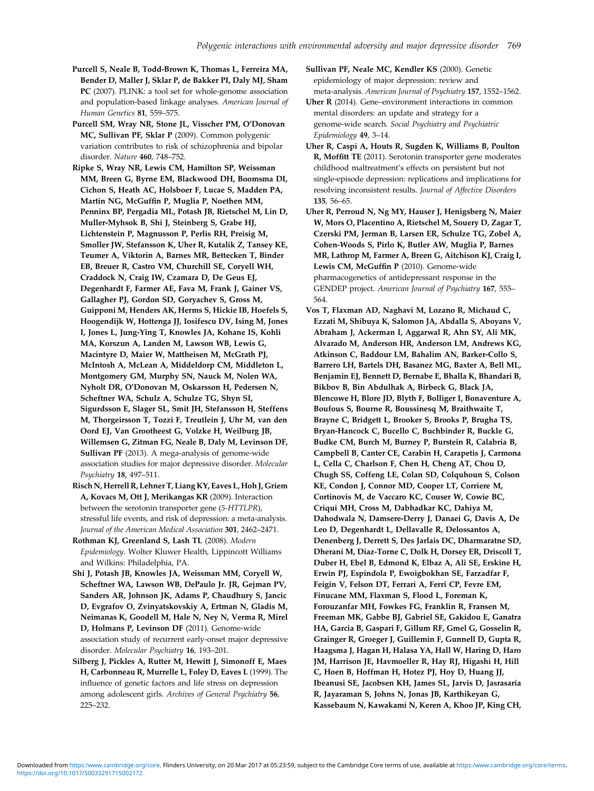- <span id="page-10-0"></span>Purcell S, Neale B, Todd-Brown K, Thomas L, Ferreira MA, Bender D, Maller J, Sklar P, de Bakker PI, Daly MJ, Sham PC (2007). PLINK: a tool set for whole-genome association and population-based linkage analyses. American Journal of Human Genetics 81, 559–575.
- Purcell SM, Wray NR, Stone JL, Visscher PM, O'Donovan MC, Sullivan PF, Sklar P (2009). Common polygenic variation contributes to risk of schizophrenia and bipolar disorder. Nature 460, 748–752.
- Ripke S, Wray NR, Lewis CM, Hamilton SP, Weissman MM, Breen G, Byrne EM, Blackwood DH, Boomsma DI, Cichon S, Heath AC, Holsboer F, Lucae S, Madden PA, Martin NG, McGuffin P, Muglia P, Noethen MM, Penninx BP, Pergadia ML, Potash JB, Rietschel M, Lin D, Muller-Myhsok B, Shi J, Steinberg S, Grabe HJ, Lichtenstein P, Magnusson P, Perlis RH, Preisig M, Smoller JW, Stefansson K, Uher R, Kutalik Z, Tansey KE, Teumer A, Viktorin A, Barnes MR, Bettecken T, Binder EB, Breuer R, Castro VM, Churchill SE, Coryell WH, Craddock N, Craig IW, Czamara D, De Geus EJ, Degenhardt F, Farmer AE, Fava M, Frank J, Gainer VS, Gallagher PJ, Gordon SD, Goryachev S, Gross M, Guipponi M, Henders AK, Herms S, Hickie IB, Hoefels S, Hoogendijk W, Hottenga JJ, Iosifescu DV, Ising M, Jones I, Jones L, Jung-Ying T, Knowles JA, Kohane IS, Kohli MA, Korszun A, Landen M, Lawson WB, Lewis G, Macintyre D, Maier W, Mattheisen M, McGrath PJ, McIntosh A, McLean A, Middeldorp CM, Middleton L, Montgomery GM, Murphy SN, Nauck M, Nolen WA, Nyholt DR, O'Donovan M, Oskarsson H, Pedersen N, Scheftner WA, Schulz A, Schulze TG, Shyn SI, Sigurdsson E, Slager SL, Smit JH, Stefansson H, Steffens M, Thorgeirsson T, Tozzi F, Treutlein J, Uhr M, van den Oord EJ, Van Grootheest G, Volzke H, Weilburg JB, Willemsen G, Zitman FG, Neale B, Daly M, Levinson DF, Sullivan PF (2013). A mega-analysis of genome-wide association studies for major depressive disorder. Molecular Psychiatry 18, 497–511.
- Risch N, Herrell R, Lehner T, Liang KY, Eaves L, Hoh J, Griem A, Kovacs M, Ott J, Merikangas KR (2009). Interaction between the serotonin transporter gene (5-HTTLPR), stressful life events, and risk of depression: a meta-analysis. Journal of the American Medical Association 301, 2462–2471.
- Rothman KJ, Greenland S, Lash TL (2008). Modern Epidemiology. Wolter Kluwer Health, Lippincott Williams and Wilkins: Philadelphia, PA.
- Shi J, Potash JB, Knowles JA, Weissman MM, Coryell W, Scheftner WA, Lawson WB, DePaulo Jr. JR, Gejman PV, Sanders AR, Johnson JK, Adams P, Chaudhury S, Jancic D, Evgrafov O, Zvinyatskovskiy A, Ertman N, Gladis M, Neimanas K, Goodell M, Hale N, Ney N, Verma R, Mirel D, Holmans P, Levinson DF (2011). Genome-wide association study of recurrent early-onset major depressive disorder. Molecular Psychiatry 16, 193–201.
- Silberg J, Pickles A, Rutter M, Hewitt J, Simonoff E, Maes H, Carbonneau R, Murrelle L, Foley D, Eaves L (1999). The influence of genetic factors and life stress on depression among adolescent girls. Archives of General Psychiatry 56, 225–232.

Sullivan PF, Neale MC, Kendler KS (2000). Genetic epidemiology of major depression: review and meta-analysis. American Journal of Psychiatry 157, 1552–1562.

Uher R (2014). Gene–environment interactions in common mental disorders: an update and strategy for a genome-wide search. Social Psychiatry and Psychiatric Epidemiology 49, 3–14.

- Uher R, Caspi A, Houts R, Sugden K, Williams B, Poulton R, Moffitt TE (2011). Serotonin transporter gene moderates childhood maltreatment's effects on persistent but not single-episode depression: replications and implications for resolving inconsistent results. Journal of Affective Disorders 135, 56–65.
- Uher R, Perroud N, Ng MY, Hauser J, Henigsberg N, Maier W, Mors O, Placentino A, Rietschel M, Souery D, Zagar T, Czerski PM, Jerman B, Larsen ER, Schulze TG, Zobel A, Cohen-Woods S, Pirlo K, Butler AW, Muglia P, Barnes MR, Lathrop M, Farmer A, Breen G, Aitchison KJ, Craig I, Lewis CM, McGuffin P (2010). Genome-wide pharmacogenetics of antidepressant response in the GENDEP project. American Journal of Psychiatry 167, 555– 564.
- Vos T, Flaxman AD, Naghavi M, Lozano R, Michaud C, Ezzati M, Shibuya K, Salomon JA, Abdalla S, Aboyans V, Abraham J, Ackerman I, Aggarwal R, Ahn SY, Ali MK, Alvarado M, Anderson HR, Anderson LM, Andrews KG, Atkinson C, Baddour LM, Bahalim AN, Barker-Collo S, Barrero LH, Bartels DH, Basanez MG, Baxter A, Bell ML, Benjamin EJ, Bennett D, Bernabe E, Bhalla K, Bhandari B, Bikbov B, Bin Abdulhak A, Birbeck G, Black JA, Blencowe H, Blore JD, Blyth F, Bolliger I, Bonaventure A, Boufous S, Bourne R, Boussinesq M, Braithwaite T, Brayne C, Bridgett L, Brooker S, Brooks P, Brugha TS, Bryan-Hancock C, Bucello C, Buchbinder R, Buckle G, Budke CM, Burch M, Burney P, Burstein R, Calabria B, Campbell B, Canter CE, Carabin H, Carapetis J, Carmona L, Cella C, Charlson F, Chen H, Cheng AT, Chou D, Chugh SS, Coffeng LE, Colan SD, Colquhoun S, Colson KE, Condon J, Connor MD, Cooper LT, Corriere M, Cortinovis M, de Vaccaro KC, Couser W, Cowie BC, Criqui MH, Cross M, Dabhadkar KC, Dahiya M, Dahodwala N, Damsere-Derry J, Danaei G, Davis A, De Leo D, Degenhardt L, Dellavalle R, Delossantos A, Denenberg J, Derrett S, Des Jarlais DC, Dharmaratne SD, Dherani M, Diaz-Torne C, Dolk H, Dorsey ER, Driscoll T, Duber H, Ebel B, Edmond K, Elbaz A, Ali SE, Erskine H, Erwin PJ, Espindola P, Ewoigbokhan SE, Farzadfar F, Feigin V, Felson DT, Ferrari A, Ferri CP, Fevre EM, Finucane MM, Flaxman S, Flood L, Foreman K, Forouzanfar MH, Fowkes FG, Franklin R, Fransen M, Freeman MK, Gabbe BJ, Gabriel SE, Gakidou E, Ganatra HA, Garcia B, Gaspari F, Gillum RF, Gmel G, Gosselin R, Grainger R, Groeger J, Guillemin F, Gunnell D, Gupta R, Haagsma J, Hagan H, Halasa YA, Hall W, Haring D, Haro JM, Harrison JE, Havmoeller R, Hay RJ, Higashi H, Hill C, Hoen B, Hoffman H, Hotez PJ, Hoy D, Huang JJ, Ibeanusi SE, Jacobsen KH, James SL, Jarvis D, Jasrasaria R, Jayaraman S, Johns N, Jonas JB, Karthikeyan G, Kassebaum N, Kawakami N, Keren A, Khoo JP, King CH,